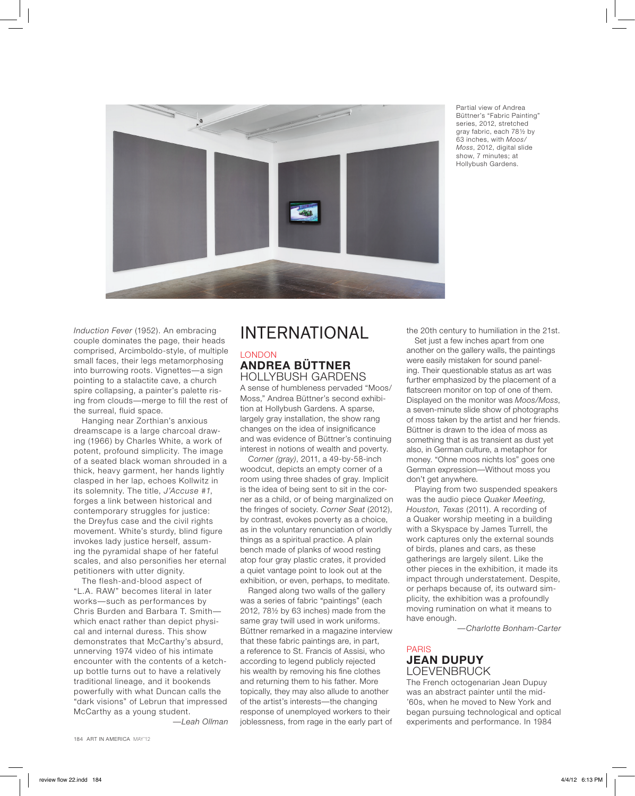

Partial view of Andrea Büttner's "Fabric Painting" series, 2012, stretched gray fabric, each 78½ by 63 inches, with *Moos/ Moss*, 2012, digital slide show, 7 minutes; at Hollybush Gardens.

*Induction Fever* (1952). An embracing couple dominates the page, their heads comprised, Arcimboldo-style, of multiple small faces, their legs metamorphosing into burrowing roots. Vignettes—a sign pointing to a stalactite cave, a church spire collapsing, a painter's palette rising from clouds—merge to fill the rest of the surreal, fluid space.

Hanging near Zorthian's anxious dreamscape is a large charcoal drawing (1966) by Charles White, a work of potent, profound simplicity. The image of a seated black woman shrouded in a thick, heavy garment, her hands lightly clasped in her lap, echoes Kollwitz in its solemnity. The title, *J'Accuse #1*, forges a link between historical and contemporary struggles for justice: the Dreyfus case and the civil rights movement. White's sturdy, blind figure invokes lady justice herself, assuming the pyramidal shape of her fateful scales, and also personifies her eternal petitioners with utter dignity.

The flesh-and-blood aspect of "L.A. RAW" becomes literal in later works—such as performances by Chris Burden and Barbara T. Smith which enact rather than depict physical and internal duress. This show demonstrates that McCarthy's absurd, unnerving 1974 video of his intimate encounter with the contents of a ketchup bottle turns out to have a relatively traditional lineage, and it bookends powerfully with what Duncan calls the "dark visions" of Lebrun that impressed McCarthy as a young student.

—*Leah Ollman*

# INTERNATIONAL LONDON

## **ANDREA BÜTTNER** HOLLYBUSH GARDENS

A sense of humbleness pervaded "Moos/ Moss," Andrea Büttner's second exhibition at Hollybush Gardens. A sparse, largely gray installation, the show rang changes on the idea of insignificance and was evidence of Büttner's continuing interest in notions of wealth and poverty.

*Corner (gray)*, 2011, a 49-by-58-inch woodcut, depicts an empty corner of a room using three shades of gray. Implicit is the idea of being sent to sit in the corner as a child, or of being marginalized on the fringes of society. *Corner Seat* (2012), by contrast, evokes poverty as a choice, as in the voluntary renunciation of worldly things as a spiritual practice. A plain bench made of planks of wood resting atop four gray plastic crates, it provided a quiet vantage point to look out at the exhibition, or even, perhaps, to meditate.

Ranged along two walls of the gallery was a series of fabric "paintings" (each 2012, 78½ by 63 inches) made from the same gray twill used in work uniforms. Büttner remarked in a magazine interview that these fabric paintings are, in part, a reference to St. Francis of Assisi, who according to legend publicly rejected his wealth by removing his fine clothes and returning them to his father. More topically, they may also allude to another of the artist's interests—the changing response of unemployed workers to their joblessness, from rage in the early part of

the 20th century to humiliation in the 21st. Set just a few inches apart from one another on the gallery walls, the paintings were easily mistaken for sound paneling. Their questionable status as art was further emphasized by the placement of a flatscreen monitor on top of one of them. Displayed on the monitor was *Moos/Moss*, a seven-minute slide show of photographs of moss taken by the artist and her friends. Büttner is drawn to the idea of moss as something that is as transient as dust yet also, in German culture, a metaphor for money. "Ohne moos nichts los" goes one German expression—Without moss you don't get anywhere.

Playing from two suspended speakers was the audio piece *Quaker Meeting, Houston, Texas* (2011). A recording of a Quaker worship meeting in a building with a Skyspace by James Turrell, the work captures only the external sounds of birds, planes and cars, as these gatherings are largely silent. Like the other pieces in the exhibition, it made its impact through understatement. Despite, or perhaps because of, its outward simplicity, the exhibition was a profoundly moving rumination on what it means to have enough.

—*Charlotte Bonham-Carter*

#### PARIS **JEAN DUPUY** LOEVENBRUCK

The French octogenarian Jean Dupuy was an abstract painter until the mid- '60s, when he moved to New York and began pursuing technological and optical experiments and performance. In 1984

184 ART IN AMERICA MAY'12